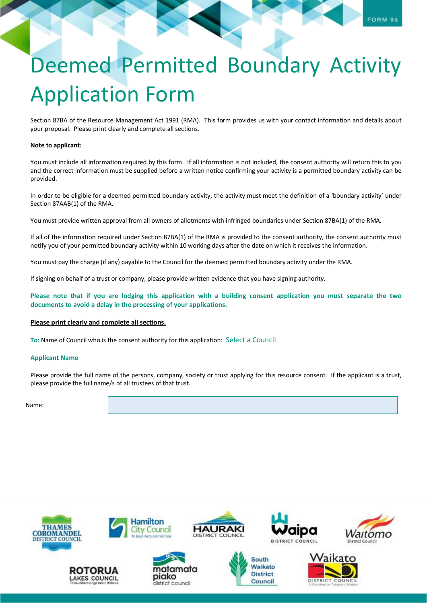# Deemed Permitted Boundary Activity Application Form

Section 87BA of the Resource Management Act 1991 (RMA). This form provides us with your contact information and details about your proposal. Please print clearly and complete all sections.

### **Note to applicant:**

You must include all information required by this form. If all information is not included, the consent authority will return this to you and the correct information must be supplied before a written notice confirming your activity is a permitted boundary activity can be provided.

In order to be eligible for a deemed permitted boundary activity, the activity must meet the definition of a 'boundary activity' under Section 87AAB(1) of the RMA.

You must provide written approval from all owners of allotments with infringed boundaries under Section 87BA(1) of the RMA.

If all of the information required under Section 87BA(1) of the RMA is provided to the consent authority, the consent authority must notify you of your permitted boundary activity within 10 working days after the date on which it receives the information.

You must pay the charge (if any) payable to the Council for the deemed permitted boundary activity under the RMA.

If signing on behalf of a trust or company, please provide written evidence that you have signing authority.

**Please note that if you are lodging this application with a building consent application you must separate the two documents to avoid a delay in the processing of your applications.**

#### **Please print clearly and complete all sections.**

**To:** Name of Council who is the consent authority for this application: Select a Council

#### **Applicant Name**

Please provide the full name of the persons, company, society or trust applying for this resource consent. If the applicant is a trust, please provide the full name/s of all trustees of that trust.

Name:

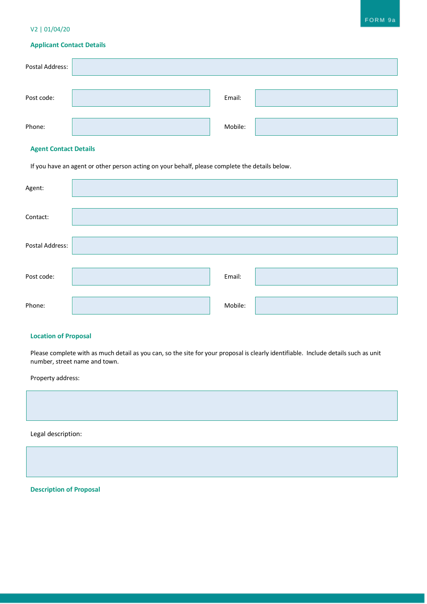## V2 | 01/04/20

# **Applicant Contact Details**

| Postal Address: |         |  |
|-----------------|---------|--|
|                 |         |  |
| Post code:      | Email:  |  |
|                 |         |  |
| Phone:          | Mobile: |  |

## **Agent Contact Details**

If you have an agent or other person acting on your behalf, please complete the details below.

| Agent:          |         |  |
|-----------------|---------|--|
| Contact:        |         |  |
| Postal Address: |         |  |
| Post code:      | Email:  |  |
| Phone:          | Mobile: |  |

## **Location of Proposal**

Please complete with as much detail as you can, so the site for your proposal is clearly identifiable. Include details such as unit number, street name and town.

Property address:

Legal description:

**Description of Proposal**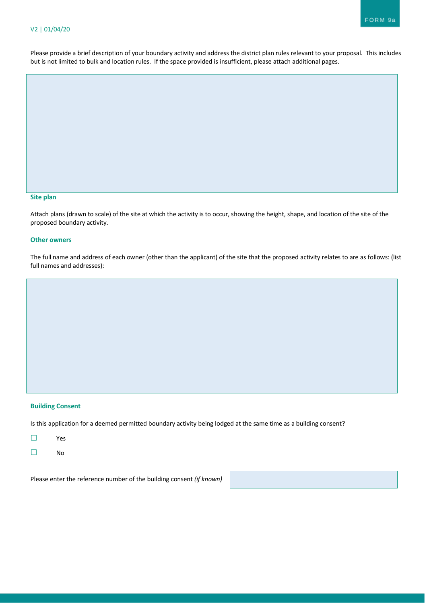Please provide a brief description of your boundary activity and address the district plan rules relevant to your proposal. This includes but is not limited to bulk and location rules. If the space provided is insufficient, please attach additional pages.

#### **Site plan**

Attach plans (drawn to scale) of the site at which the activity is to occur, showing the height, shape, and location of the site of the proposed boundary activity.

## **Other owners**

The full name and address of each owner (other than the applicant) of the site that the proposed activity relates to are as follows: (list full names and addresses):

## **Building Consent**

Is this application for a deemed permitted boundary activity being lodged at the same time as a building consent?

- ☐ Yes
- ☐ No

Please enter the reference number of the building consent *(if known)*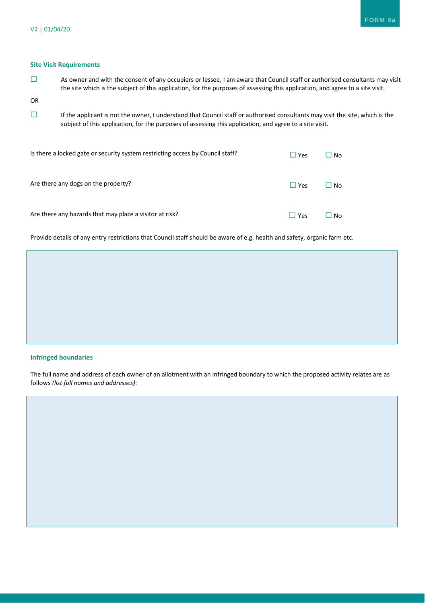## **Site Visit Requirements**

☐ As owner and with the consent of any occupiers or lessee, I am aware that Council staff or authorised consultants may visit the site which is the subject of this application, for the purposes of assessing this application, and agree to a site visit.

OR

☐ If the applicant is not the owner, I understand that Council staff or authorised consultants may visit the site, which is the subject of this application, for the purposes of assessing this application, and agree to a site visit.

| Is there a locked gate or security system restricting access by Council staff? | $\Box$ Yes | $\Box$ No |
|--------------------------------------------------------------------------------|------------|-----------|
| Are there any dogs on the property?                                            | l l Yes    | $\Box$ No |
| Are there any hazards that may place a visitor at risk?                        | Yes        | No        |

Provide details of any entry restrictions that Council staff should be aware of e.g. health and safety, organic farm etc.

## **Infringed boundaries**

The full name and address of each owner of an allotment with an infringed boundary to which the proposed activity relates are as follows *(list full names and addresses)*: